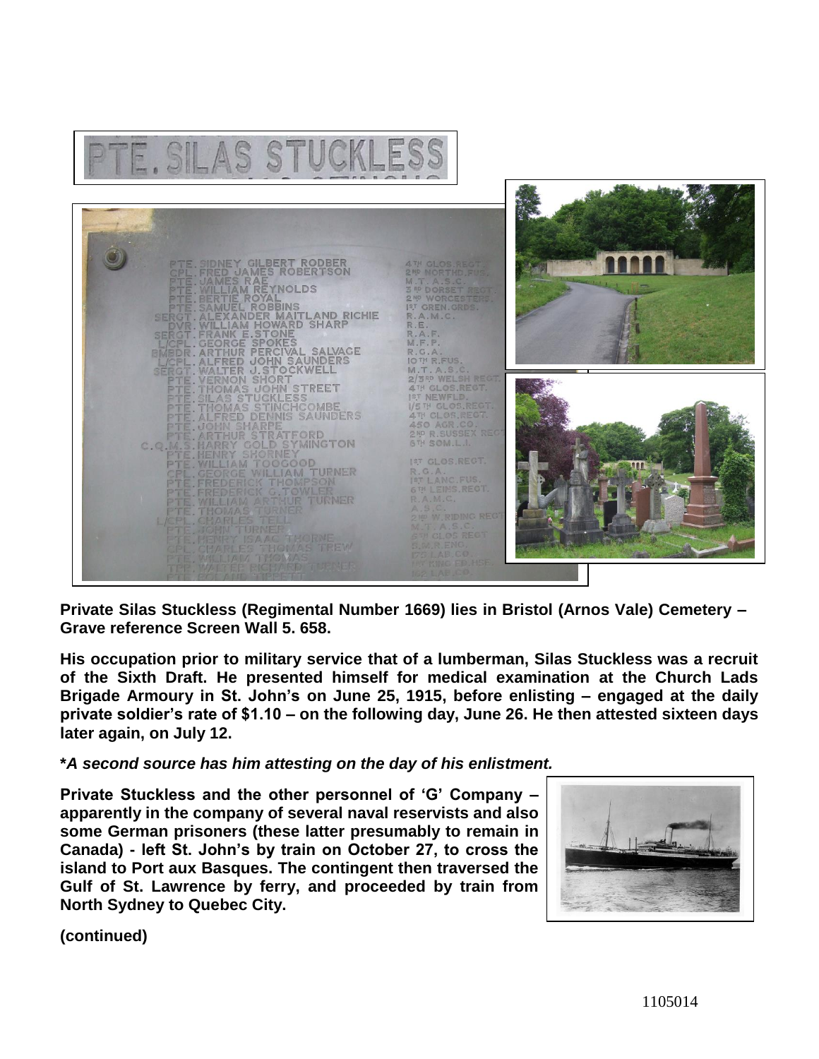

**Private Silas Stuckless (Regimental Number 1669) lies in Bristol (Arnos Vale) Cemetery – Grave reference Screen Wall 5. 658.** 

**His occupation prior to military service that of a lumberman, Silas Stuckless was a recruit of the Sixth Draft. He presented himself for medical examination at the Church Lads Brigade Armoury in St. John's on June 25, 1915, before enlisting – engaged at the daily private soldier's rate of \$1.10 – on the following day, June 26. He then attested sixteen days later again, on July 12.**

## **\****A second source has him attesting on the day of his enlistment.*

**Private Stuckless and the other personnel of 'G' Company – apparently in the company of several naval reservists and also some German prisoners (these latter presumably to remain in Canada) - left St. John's by train on October 27, to cross the island to Port aux Basques. The contingent then traversed the Gulf of St. Lawrence by ferry, and proceeded by train from North Sydney to Quebec City.**



**(continued)**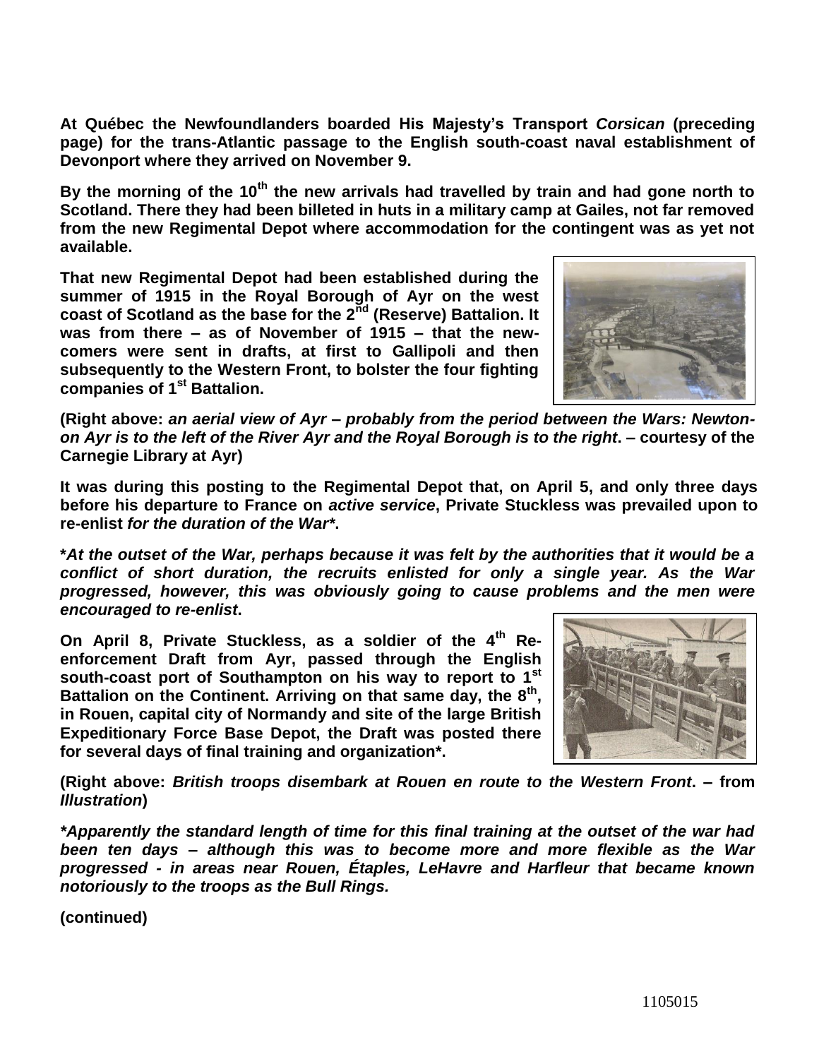**At Québec the Newfoundlanders boarded His Majesty's Transport** *Corsican* **(preceding page) for the trans-Atlantic passage to the English south-coast naval establishment of Devonport where they arrived on November 9.**

**By the morning of the 10th the new arrivals had travelled by train and had gone north to Scotland. There they had been billeted in huts in a military camp at Gailes, not far removed from the new Regimental Depot where accommodation for the contingent was as yet not available.**

**That new Regimental Depot had been established during the summer of 1915 in the Royal Borough of Ayr on the west coast of Scotland as the base for the 2nd (Reserve) Battalion. It was from there – as of November of 1915 – that the newcomers were sent in drafts, at first to Gallipoli and then subsequently to the Western Front, to bolster the four fighting companies of 1st Battalion.** 



**(Right above:** *an aerial view of Ayr – probably from the period between the Wars: Newtonon Ayr is to the left of the River Ayr and the Royal Borough is to the right***. – courtesy of the Carnegie Library at Ayr)**

**It was during this posting to the Regimental Depot that, on April 5, and only three days before his departure to France on** *active service***, Private Stuckless was prevailed upon to re-enlist** *for the duration of the War\****.** 

**\****At the outset of the War, perhaps because it was felt by the authorities that it would be a conflict of short duration, the recruits enlisted for only a single year. As the War progressed, however, this was obviously going to cause problems and the men were encouraged to re-enlist***.**

**On April 8, Private Stuckless, as a soldier of the 4th Reenforcement Draft from Ayr, passed through the English south-coast port of Southampton on his way to report to 1st Battalion on the Continent. Arriving on that same day, the 8th , in Rouen, capital city of Normandy and site of the large British Expeditionary Force Base Depot, the Draft was posted there for several days of final training and organization\*.** 



**(Right above:** *British troops disembark at Rouen en route to the Western Front***. – from**  *Illustration***)**

*\*Apparently the standard length of time for this final training at the outset of the war had been ten days – although this was to become more and more flexible as the War progressed - in areas near Rouen, Étaples, LeHavre and Harfleur that became known notoriously to the troops as the Bull Rings.*

**(continued)**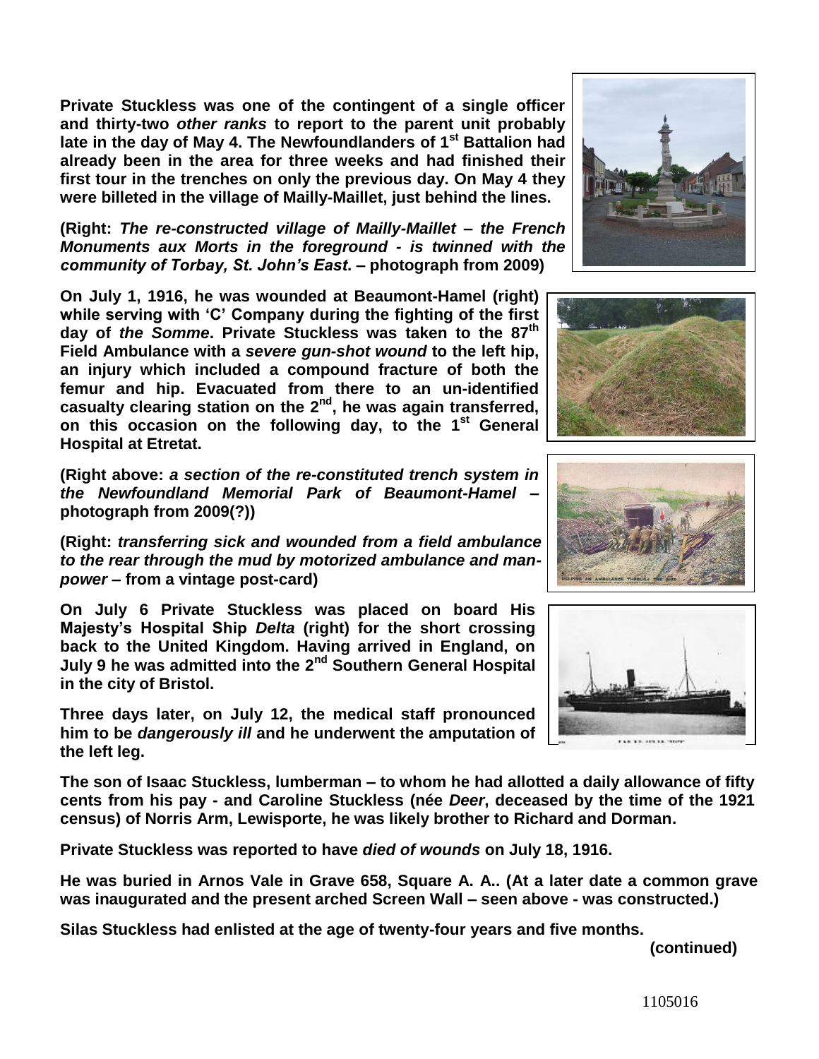**Private Stuckless was one of the contingent of a single officer and thirty-two** *other ranks* **to report to the parent unit probably late in the day of May 4. The Newfoundlanders of 1st Battalion had already been in the area for three weeks and had finished their first tour in the trenches on only the previous day. On May 4 they were billeted in the village of Mailly-Maillet, just behind the lines.**

**(Right:** *The re-constructed village of Mailly-Maillet – the French Monuments aux Morts in the foreground - is twinned with the community of Torbay, St. John's East***. – photograph from 2009)** 

**On July 1, 1916, he was wounded at Beaumont-Hamel (right) while serving with 'C' Company during the fighting of the first day of** *the Somme***. Private Stuckless was taken to the 87th Field Ambulance with a** *severe gun-shot wound* **to the left hip, an injury which included a compound fracture of both the femur and hip. Evacuated from there to an un-identified casualty clearing station on the 2nd, he was again transferred, on this occasion on the following day, to the 1st General Hospital at Etretat.**

**(Right above:** *a section of the re-constituted trench system in the Newfoundland Memorial Park of Beaumont-Hamel* **– photograph from 2009(?))**

**(Right:** *transferring sick and wounded from a field ambulance to the rear through the mud by motorized ambulance and manpower* **– from a vintage post-card)**

**On July 6 Private Stuckless was placed on board His Majesty's Hospital Ship** *Delta* **(right) for the short crossing back to the United Kingdom. Having arrived in England, on July 9 he was admitted into the 2nd Southern General Hospital in the city of Bristol.** 

**Three days later, on July 12, the medical staff pronounced him to be** *dangerously ill* **and he underwent the amputation of the left leg.**

**The son of Isaac Stuckless, lumberman – to whom he had allotted a daily allowance of fifty cents from his pay - and Caroline Stuckless (née** *Deer***, deceased by the time of the 1921 census) of Norris Arm, Lewisporte, he was likely brother to Richard and Dorman.** 

**Private Stuckless was reported to have** *died of wounds* **on July 18, 1916.** 

**He was buried in Arnos Vale in Grave 658, Square A. A.. (At a later date a common grave was inaugurated and the present arched Screen Wall – seen above - was constructed.)**

**Silas Stuckless had enlisted at the age of twenty-four years and five months.** 

**(continued)**